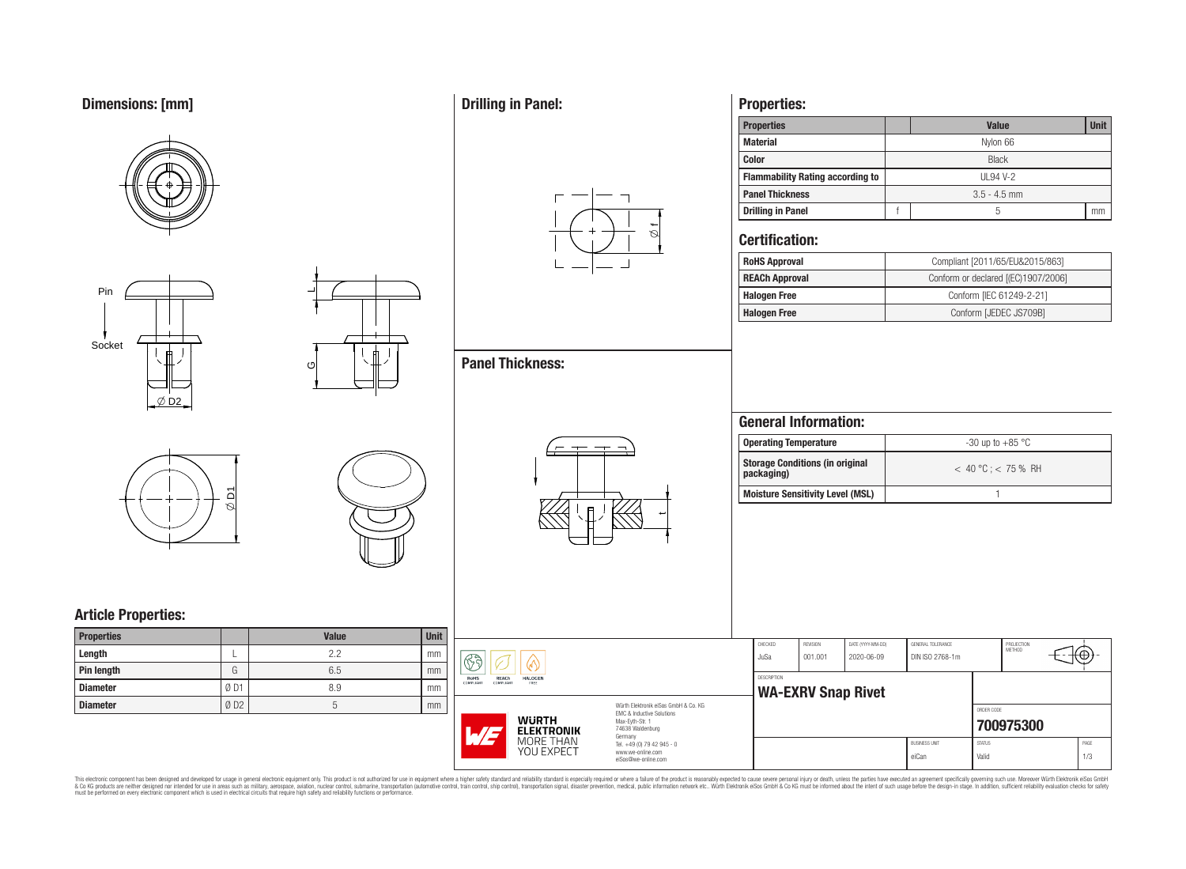# **Dimensions: [mm]**









 $\overline{\phantom{0}}$ 

ပ

# **Article Properties:**

| <b>Properties</b> |     | <b>Value</b> | <b>Unit</b> |
|-------------------|-----|--------------|-------------|
| Length            |     | 22           | mm          |
| <b>Pin length</b> | G   | 6.5          | mm          |
| <b>Diameter</b>   | ØD1 | 8.9          | mm          |
| <b>Diameter</b>   | ØD2 |              | mm          |

# **Drilling in Panel:**



# **Panel Thickness:**



## **Properties:**

| <b>Properties</b>                       |                | <b>Unit</b><br><b>Value</b> |    |  |  |  |  |  |  |
|-----------------------------------------|----------------|-----------------------------|----|--|--|--|--|--|--|
| <b>Material</b>                         |                | Nylon 66                    |    |  |  |  |  |  |  |
| <b>Color</b>                            | <b>Black</b>   |                             |    |  |  |  |  |  |  |
| <b>Flammability Rating according to</b> | UL94 V-2       |                             |    |  |  |  |  |  |  |
| <b>Panel Thickness</b>                  | $3.5 - 4.5$ mm |                             |    |  |  |  |  |  |  |
| <b>Drilling in Panel</b>                |                | 5                           | mm |  |  |  |  |  |  |

### **Certification:**

| <b>RoHS Approval</b>  | Compliant [2011/65/EU&2015/863]     |
|-----------------------|-------------------------------------|
| <b>REACh Approval</b> | Conform or declared [(EC)1907/2006] |
| <b>Halogen Free</b>   | Conform [IEC 61249-2-21]            |
| <b>Halogen Free</b>   | Conform [JEDEC JS709B]              |

## **General Information:**

| <b>Operating Temperature</b>                         | $-30$ up to $+85$ °C    |
|------------------------------------------------------|-------------------------|
| <b>Storage Conditions (in original</b><br>packaging) | $< 40 °C$ : $< 75 %$ RH |
| Moisture Sensitivity Level (MSL)                     |                         |

| it     |                                                                                                                                                      |                                                                                   |                    |                           |                                 |                                      |                        |                             |             |
|--------|------------------------------------------------------------------------------------------------------------------------------------------------------|-----------------------------------------------------------------------------------|--------------------|---------------------------|---------------------------------|--------------------------------------|------------------------|-----------------------------|-------------|
| m.     | 83                                                                                                                                                   |                                                                                   | CHECKED<br>JuSa    | REVISION<br>001.001       | DATE (YYYY-MM-DD)<br>2020-06-09 | GENERAL TOLERANCE<br>DIN ISO 2768-1m |                        | PROJECTION<br><b>METHOD</b> | ₩           |
| m<br>m | RoHS<br><b>REACh</b><br><b>HALOGEN</b><br><b>COMPLIANT</b><br>COMPLIANT<br>FREE                                                                      |                                                                                   | <b>DESCRIPTION</b> | <b>WA-EXRV Snap Rivet</b> |                                 |                                      |                        |                             |             |
| m      | Würth Elektronik eiSos GmbH & Co. KG<br>FMC & Inductive Solutions<br><b>WURTH</b><br>Max-Eyth-Str. 1<br>74638 Waldenburg<br><b>ELEKTRONIK</b><br>L/F |                                                                                   |                    |                           |                                 |                                      | ORDER CODE             | 700975300                   |             |
|        | MORE THAN<br><b>YOU EXPECT</b>                                                                                                                       | Germany<br>Tel. +49 (0) 79 42 945 - 0<br>www.we-online.com<br>eiSos@we-online.com |                    |                           |                                 | <b>BUSINESS UNIT</b><br>eiCan        | <b>STATUS</b><br>Valid |                             | PAGE<br>1/3 |

This electronic component has been designed and developed for usage in general electronic equipment only. This product is not authorized for subserved requipment where a higher selection equipment where a higher selection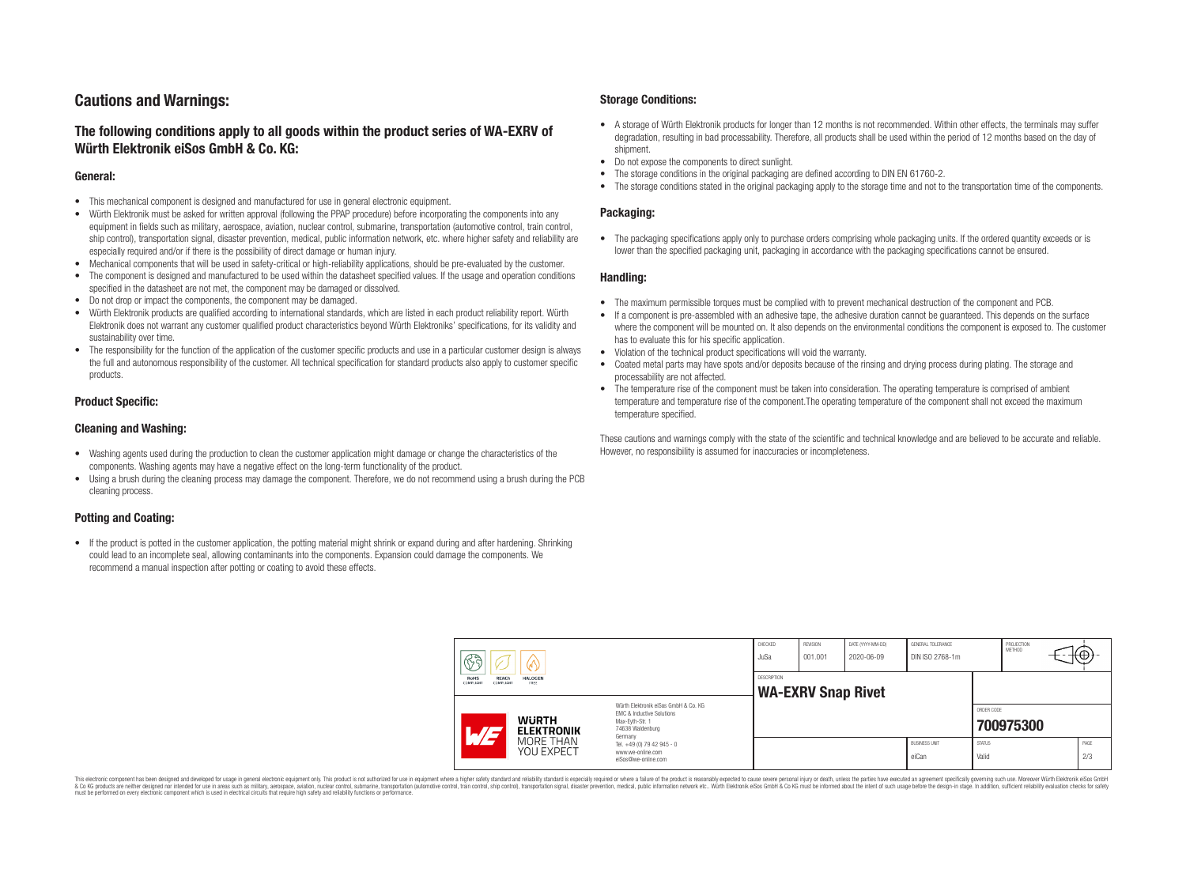## **Cautions and Warnings:**

### **The following conditions apply to all goods within the product series of WA-EXRV of Würth Elektronik eiSos GmbH & Co. KG:**

#### **General:**

- This mechanical component is designed and manufactured for use in general electronic equipment.
- Würth Elektronik must be asked for written approval (following the PPAP procedure) before incorporating the components into any equipment in fields such as military, aerospace, aviation, nuclear control, submarine, transportation (automotive control, train control, ship control), transportation signal, disaster prevention, medical, public information network, etc. where higher safety and reliability are especially required and/or if there is the possibility of direct damage or human injury.
- Mechanical components that will be used in safety-critical or high-reliability applications, should be pre-evaluated by the customer.
- The component is designed and manufactured to be used within the datasheet specified values. If the usage and operation conditions specified in the datasheet are not met, the component may be damaged or dissolved.
- Do not drop or impact the components, the component may be damaged.<br>• Wirth Elektronik products are qualified according to international standard
- Würth Elektronik products are qualified according to international standards, which are listed in each product reliability report. Würth Elektronik does not warrant any customer qualified product characteristics beyond Würth Elektroniks' specifications, for its validity and sustainability over time.
- The responsibility for the function of the application of the customer specific products and use in a particular customer design is always the full and autonomous responsibility of the customer. All technical specification for standard products also apply to customer specific products.

#### **Product Specific:**

#### **Cleaning and Washing:**

- Washing agents used during the production to clean the customer application might damage or change the characteristics of the components. Washing agents may have a negative effect on the long-term functionality of the product.
- Using a brush during the cleaning process may damage the component. Therefore, we do not recommend using a brush during the PCB cleaning process.

#### **Potting and Coating:**

• If the product is potted in the customer application, the potting material might shrink or expand during and after hardening. Shrinking could lead to an incomplete seal, allowing contaminants into the components. Expansion could damage the components. We recommend a manual inspection after potting or coating to avoid these effects.

#### **Storage Conditions:**

- A storage of Würth Elektronik products for longer than 12 months is not recommended. Within other effects, the terminals may suffer degradation, resulting in bad processability. Therefore, all products shall be used within the period of 12 months based on the day of shipment.
- Do not expose the components to direct sunlight.<br>• The storage conditions in the original packaging
- The storage conditions in the original packaging are defined according to DIN EN 61760-2.
- The storage conditions stated in the original packaging apply to the storage time and not to the transportation time of the components.

#### **Packaging:**

• The packaging specifications apply only to purchase orders comprising whole packaging units. If the ordered quantity exceeds or is lower than the specified packaging unit, packaging in accordance with the packaging specifications cannot be ensured.

#### **Handling:**

- The maximum permissible torques must be complied with to prevent mechanical destruction of the component and PCB.
- If a component is pre-assembled with an adhesive tape, the adhesive duration cannot be guaranteed. This depends on the surface where the component will be mounted on. It also depends on the environmental conditions the component is exposed to. The customer has to evaluate this for his specific application.
- Violation of the technical product specifications will void the warranty.
- Coated metal parts may have spots and/or deposits because of the rinsing and drying process during plating. The storage and processability are not affected.
- The temperature rise of the component must be taken into consideration. The operating temperature is comprised of ambient temperature and temperature rise of the component.The operating temperature of the component shall not exceed the maximum temperature specified.

These cautions and warnings comply with the state of the scientific and technical knowledge and are believed to be accurate and reliable. However, no responsibility is assumed for inaccuracies or incompleteness.

| $\mathbb{C}^2$ |                                         | CHECKED<br>JuSa                   | <b>REVISION</b><br>001.001                                                                                          | DATE (YYYY-MM-DD)<br>2020-06-09 | GENERAL TOLERANCE<br>DIN ISO 2768-1m |  | PROJECTION<br>METHOD          | ₭⊕}                    |           |             |
|----------------|-----------------------------------------|-----------------------------------|---------------------------------------------------------------------------------------------------------------------|---------------------------------|--------------------------------------|--|-------------------------------|------------------------|-----------|-------------|
|                | RoHS<br>REACh<br>COMPLIANT<br>COMPLIANT | <b>HALOGEN</b><br>FREE            |                                                                                                                     | DESCRIPTION                     | <b>WA-EXRV Snap Rivet</b>            |  |                               |                        |           |             |
|                | $\overline{\phantom{a}}$                | <b>WURTH</b><br><b>ELEKTRONIK</b> | Würth Elektronik eiSos GmbH & Co. KG<br>EMC & Inductive Solutions<br>Max-Evth-Str. 1<br>74638 Waldenburg<br>Germany |                                 |                                      |  |                               | ORDER CODE             | 700975300 |             |
|                |                                         | MORE THAN<br>YOU EXPECT           | Tel. +49 (0) 79 42 945 - 0<br>www.we-online.com<br>eiSos@we-online.com                                              |                                 |                                      |  | <b>BUSINESS UNIT</b><br>eiCan | <b>STATUS</b><br>Valid |           | PAGE<br>2/3 |

This electronic component has been designed and developed for usage in general electronic equipment only. This product is not authorized for use in equipment where a higher safety standard and reliability standard si espec & Ook product a label and the membed of the seasuch as marked and as which such a membed and the such assume that income in the seasuch and the simulation and the such assume that include to the such a membed and the such